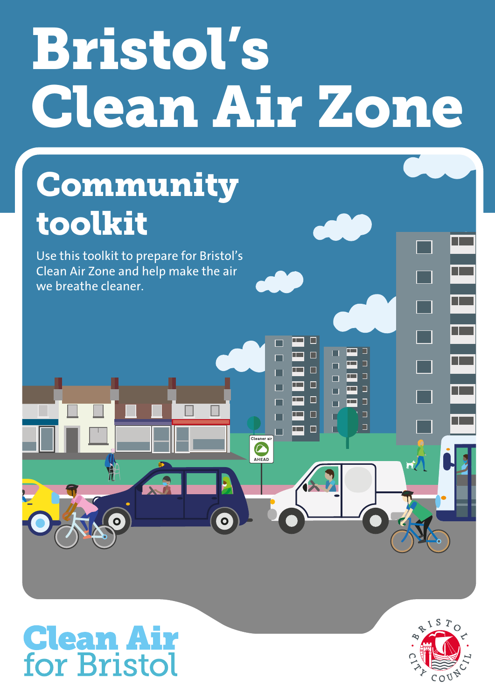# Bristol's Clean Air Zone

 $\Box$  $\Box$  $\Box$  $\Box$ 

 $\Box$ 

 $\blacksquare$  $\Box$ 

Cleaner ai AHEAD

 $\Box$ 

Ċ

# **Community** toolkit

Use this toolkit to prepare for Bristol's Clean Air Zone and help make the air we breathe cleaner.

# **Clean Air**<br>for Bristol

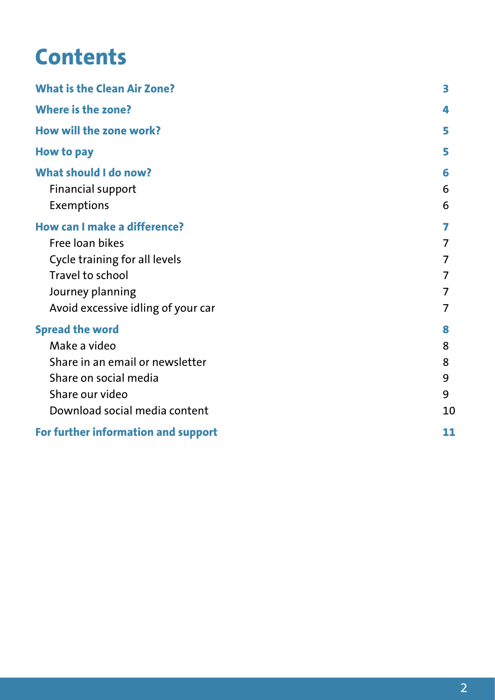## **Contents**

| <b>What is the Clean Air Zone?</b>                                                                                                                             |                             |
|----------------------------------------------------------------------------------------------------------------------------------------------------------------|-----------------------------|
| <b>Where is the zone?</b>                                                                                                                                      | 4                           |
| How will the zone work?                                                                                                                                        | 5                           |
| <b>How to pay</b>                                                                                                                                              | 5                           |
| <b>What should I do now?</b><br><b>Financial support</b><br>Exemptions                                                                                         | 6<br>6<br>6                 |
| How can I make a difference?<br>Free loan bikes<br>Cycle training for all levels<br>Travel to school<br>Journey planning<br>Avoid excessive idling of your car | 7<br>7                      |
| <b>Spread the word</b><br>Make a video<br>Share in an email or newsletter<br>Share on social media<br>Share our video<br>Download social media content         | 8<br>8<br>8<br>9<br>9<br>10 |
| For further information and support                                                                                                                            | 11                          |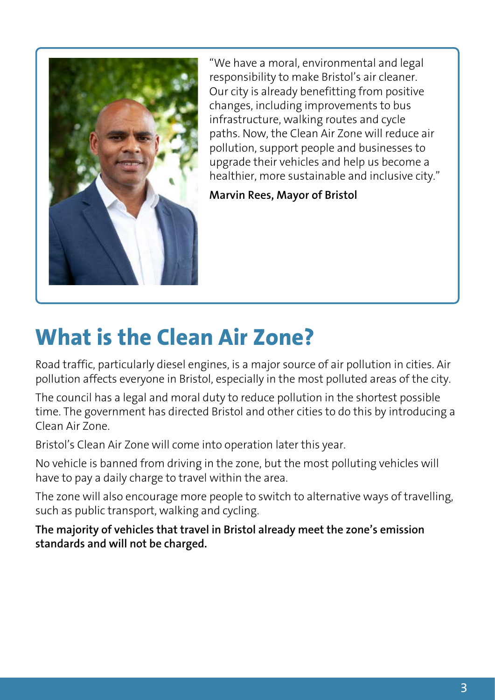<span id="page-2-0"></span>

"We have a moral, environmental and legal responsibility to make Bristol's air cleaner. Our city is already benefitting from positive changes, including improvements to bus infrastructure, walking routes and cycle paths. Now, the Clean Air Zone will reduce air pollution, support people and businesses to upgrade their vehicles and help us become a healthier, more sustainable and inclusive city."

**Marvin Rees, Mayor of Bristol**

## **What is the Clean Air Zone?**

Road traffic, particularly diesel engines, is a major source of air pollution in cities. Air pollution affects everyone in Bristol, especially in the most polluted areas of the city.

The council has a legal and moral duty to reduce pollution in the shortest possible time. The government has directed Bristol and other cities to do this by introducing a Clean Air Zone.

Bristol's Clean Air Zone will come into operation later this year.

No vehicle is banned from driving in the zone, but the most polluting vehicles will have to pay a daily charge to travel within the area.

The zone will also encourage more people to switch to alternative ways of travelling, such as public transport, walking and cycling.

**The majority of vehicles that travel in Bristol already meet the zone's emission standards and will not be charged.**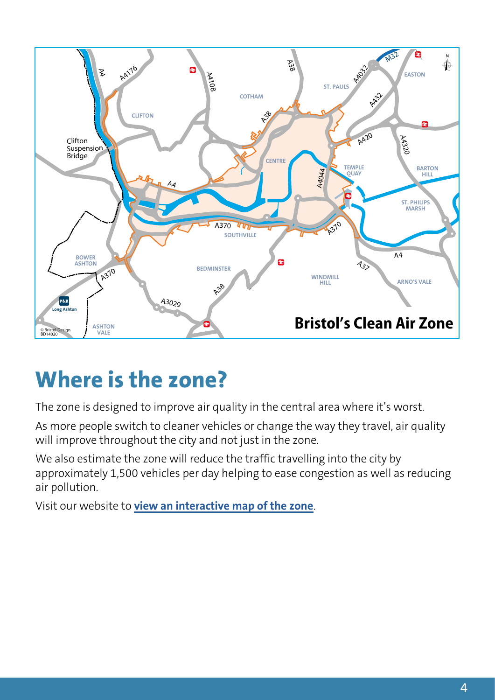<span id="page-3-0"></span>

## **Where is the zone?**

The zone is designed to improve air quality in the central area where it's worst.

As more people switch to cleaner vehicles or change the way they travel, air quality will improve throughout the city and not just in the zone.

We also estimate the zone will reduce the traffic travelling into the city by approximately 1,500 vehicles per day helping to ease congestion as well as reducing air pollution.

Visit our website to **[view an interactive map of the zone](https://www.bristol.gov.uk/streets-travel/bristol-caz/view-map)**.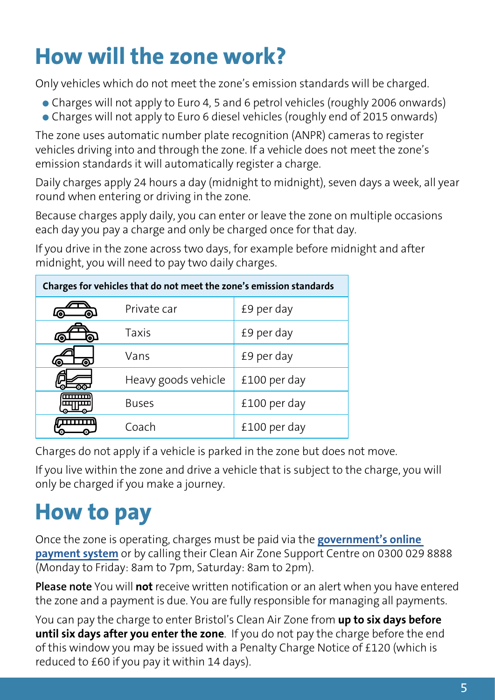## <span id="page-4-0"></span>**How will the zone work?**

Only vehicles which do not meet the zone's emission standards will be charged.

- Charges will not apply to Euro 4, 5 and 6 petrol vehicles (roughly 2006 onwards)
- Charges will not apply to Euro 6 diesel vehicles (roughly end of 2015 onwards)

The zone uses automatic number plate recognition (ANPR) cameras to register vehicles driving into and through the zone. If a vehicle does not meet the zone's emission standards it will automatically register a charge.

Daily charges apply 24 hours a day (midnight to midnight), seven days a week, all year round when entering or driving in the zone.

Because charges apply daily, you can enter or leave the zone on multiple occasions each day you pay a charge and only be charged once for that day.

If you drive in the zone across two days, for example before midnight and after midnight, you will need to pay two daily charges.

| Charges for vehicles that do not meet the zone's emission standards |                     |              |
|---------------------------------------------------------------------|---------------------|--------------|
| டு<br>வ                                                             | Private car         | £9 per day   |
| வ<br>ൟ                                                              | <b>Taxis</b>        | £9 per day   |
| ⊚.<br>ட                                                             | Vans                | £9 per day   |
| ൈ                                                                   | Heavy goods vehicle | £100 per day |
|                                                                     | <b>Buses</b>        | £100 per day |
|                                                                     | Coach               | £100 per day |

Charges do not apply if a vehicle is parked in the zone but does not move.

If you live within the zone and drive a vehicle that is subject to the charge, you will only be charged if you make a journey.

## **How to pay**

Once the zone is operating, charges must be paid via the **[government's online](https://www.gov.uk/clean-air-zones)  [payment system](https://www.gov.uk/clean-air-zones)** or by calling their Clean Air Zone Support Centre on 0300 029 8888 (Monday to Friday: 8am to 7pm, Saturday: 8am to 2pm).

**Please note** You will **not** receive written notification or an alert when you have entered the zone and a payment is due. You are fully responsible for managing all payments.

You can pay the charge to enter Bristol's Clean Air Zone from **up to six days before until six days after you enter the zone**. If you do not pay the charge before the end of this window you may be issued with a Penalty Charge Notice of £120 (which is reduced to £60 if you pay it within 14 days).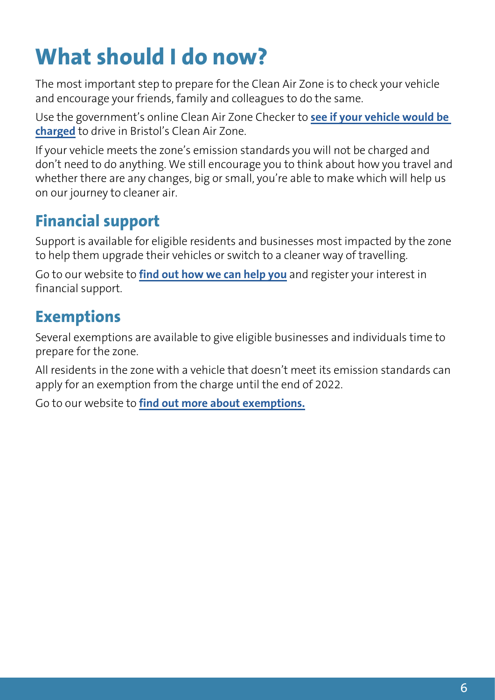## <span id="page-5-0"></span>**What should I do now?**

The most important step to prepare for the Clean Air Zone is to check your vehicle and encourage your friends, family and colleagues to do the same.

Use the government's online Clean Air Zone Checker to **[see if your vehicle would be](www.gov.uk/clean-air-zones)  [charged](www.gov.uk/clean-air-zones)** to drive in Bristol's Clean Air Zone.

If your vehicle meets the zone's emission standards you will not be charged and don't need to do anything. We still encourage you to think about how you travel and whether there are any changes, big or small, you're able to make which will help us on our journey to cleaner air.

#### **Financial support**

Support is available for eligible residents and businesses most impacted by the zone to help them upgrade their vehicles or switch to a cleaner way of travelling.

Go to our website to **[find out how we can help you](https://www.bristol.gov.uk/streets-travel/bristol-caz/financial-support)** and register your interest in financial support.

#### **Exemptions**

Several exemptions are available to give eligible businesses and individuals time to prepare for the zone.

All residents in the zone with a vehicle that doesn't meet its emission standards can apply for an exemption from the charge until the end of 2022.

Go to our website to **[find out more](https://www.bristol.gov.uk/streets-travel/bristol-caz/exemptions) about exemptions.**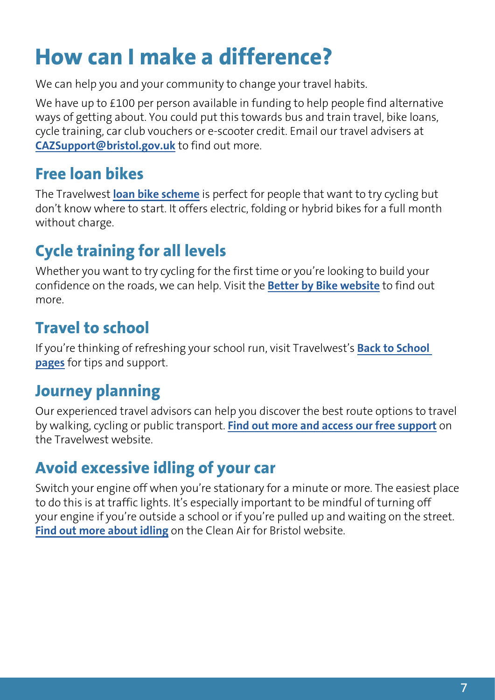## <span id="page-6-0"></span>**How can I make a difference?**

We can help you and your community to change your travel habits.

We have up to £100 per person available in funding to help people find alternative ways of getting about. You could put this towards bus and train travel, bike loans, cycle training, car club vouchers or e-scooter credit. Email our travel advisers at **[CAZSupport@bristol.gov.uk](mailto:CAZSupport@bristol.gov.uk)** to find out more.

### **Free loan bikes**

The Travelwest **[loan bike scheme](https://betterbybike.info/schemes-and-initiatives/loan-a-bike-scheme/)** is perfect for people that want to try cycling but don't know where to start. It offers electric, folding or hybrid bikes for a full month without charge.

## **Cycle training for all levels**

Whether you want to try cycling for the first time or you're looking to build your confidence on the roads, we can help. Visit the **[Better by Bike website](https://betterbybike.info/training/adult-cycle-training/)** to find out more.

### **Travel to school**

If you're thinking of refreshing your school run, visit Travelwest's **[Back to School](https://travelwest.info/schools-universities/back-to-school-travel-advice)  [pages](https://travelwest.info/schools-universities/back-to-school-travel-advice)** for tips and support.

#### **Journey planning**

Our experienced travel advisors can help you discover the best route options to travel by walking, cycling or public transport. **[Find out more and access our free support](https://travelwest.info/for-communities/individual-support)** on the Travelwest website.

## **Avoid excessive idling of your car**

Switch your engine off when you're stationary for a minute or more. The easiest place to do this is at traffic lights. It's especially important to be mindful of turning off your engine if you're outside a school or if you're pulled up and waiting on the street. **[Find out more about idling](https://www.cleanairforbristol.org/no-idling/)** on the Clean Air for Bristol website.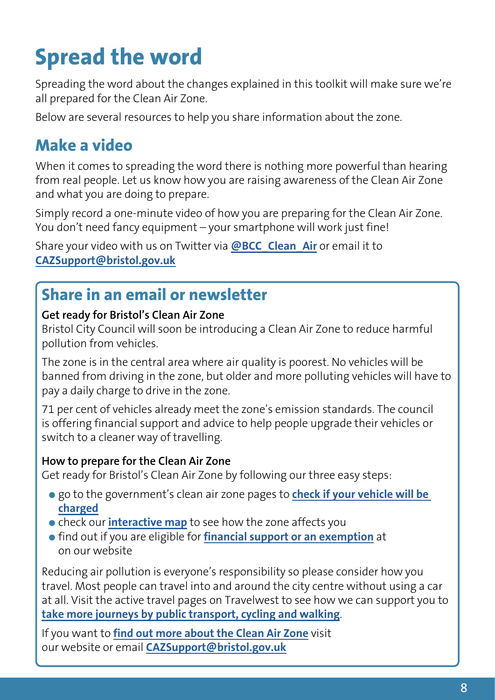# <span id="page-7-0"></span>**Spread the word**

Spreading the word about the changes explained in this toolkit will make sure we're all prepared for the Clean Air Zone.

Below are several resources to help you share information about the zone.

#### **Make a video**

When it comes to spreading the word there is nothing more powerful than hearing from real people. Let us know how you are raising awareness of the Clean Air Zone and what you are doing to prepare.

Simply record a one-minute video of how you are preparing for the Clean Air Zone. You don't need fancy equipment – your smartphone will work just fine!

Share your video with us on Twitter via **[@BCC\\_Clean\\_Air](https://twitter.com/bcc_clean_air)** or email it to **[CAZSupport@bristol.gov.uk](mailto:CAZSupport@bristol.gov.uk)**

#### **Share in an email or newsletter**

#### **Get ready for Bristol's Clean Air Zone**

Bristol City Council will soon be introducing a Clean Air Zone to reduce harmful pollution from vehicles.

The zone is in the central area where air quality is poorest. No vehicles will be banned from driving in the zone, but older and more polluting vehicles will have to pay a daily charge to drive in the zone.

71 per cent of vehicles already meet the zone's emission standards. The council is offering financial support and advice to help people upgrade their vehicles or switch to a cleaner way of travelling.

#### **How to prepare for the Clean Air Zone**

Get ready for Bristol's Clean Air Zone by following our three easy steps:

- go to the government's clean air zone pages to **[check if your vehicle will be](www.gov.uk/clean-air-zones)  [charged](www.gov.uk/clean-air-zones)**
- **check our [interactive map](www.bristol.gov.uk/caz/map)** to see how the zone affects you
- find out if you are eligible for **[financial support or an exemption](www.bristol.gov.uk/cleanairzone)** at on our website

Reducing air pollution is everyone's responsibility so please consider how you travel. Most people can travel into and around the city centre without using a car at all. Visit the active travel pages on Travelwest to see how we can support you to **[take more journeys by public transport, cycling and walking](www.travelwest.info/active-travel)**.

If you want to **[find out more about the Clean Air Zone](www.bristol.gov.uk/cleanairzone)** visit our website or email **[CAZSupport@bristol.gov.uk](mailto:CAZSupport@bristol.gov.uk)**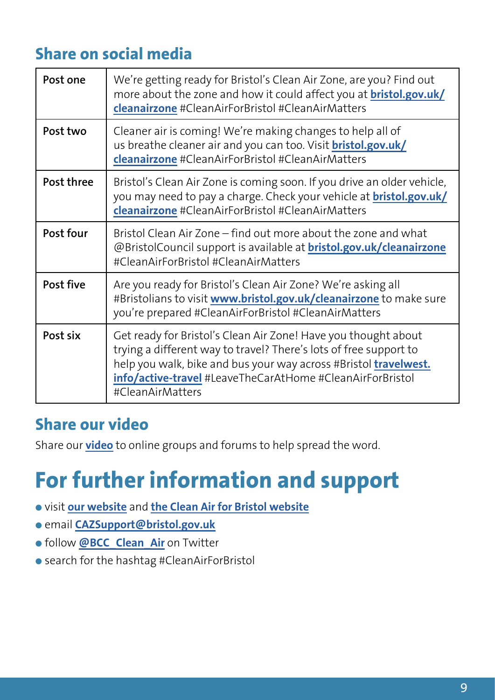#### <span id="page-8-0"></span>**Share on social media**

| Post one   | We're getting ready for Bristol's Clean Air Zone, are you? Find out<br>more about the zone and how it could affect you at <b>bristol.gov.uk/</b><br>cleanairzone #CleanAirForBristol #CleanAirMatters                                                                                    |
|------------|------------------------------------------------------------------------------------------------------------------------------------------------------------------------------------------------------------------------------------------------------------------------------------------|
| Post two   | Cleaner air is coming! We're making changes to help all of<br>us breathe cleaner air and you can too. Visit <b>bristol.gov.uk/</b><br>cleanairzone #CleanAirForBristol #CleanAirMatters                                                                                                  |
| Post three | Bristol's Clean Air Zone is coming soon. If you drive an older vehicle,<br>you may need to pay a charge. Check your vehicle at <b>bristol.gov.uk/</b><br>cleanairzone #CleanAirForBristol #CleanAirMatters                                                                               |
| Post four  | Bristol Clean Air Zone – find out more about the zone and what<br>@BristolCouncil support is available at <b>bristol.gov.uk/cleanairzone</b><br>#CleanAirForBristol #CleanAirMatters                                                                                                     |
| Post five  | Are you ready for Bristol's Clean Air Zone? We're asking all<br>#Bristolians to visit www.bristol.gov.uk/cleanairzone to make sure<br>you're prepared #CleanAirForBristol #CleanAirMatters                                                                                               |
| Post six   | Get ready for Bristol's Clean Air Zone! Have you thought about<br>trying a different way to travel? There's lots of free support to<br>help you walk, bike and bus your way across #Bristol travelwest.<br>info/active-travel #LeaveTheCarAtHome #CleanAirForBristol<br>#CleanAirMatters |

#### **Share our video**

Share our **[video](http://www.youtube.com/watch?v=uxADUn0kihA)** to online groups and forums to help spread the word.

## **For further information and support**

- visit **[our website](www.bristol.gov.uk/cleanairzone)** and **[the Clean Air for Bristol website](www.cleanairforbristol.org.uk)**
- email **[CAZSupport@bristol.gov.uk](mailto:CAZSupport@bristol.gov.uk)**
- follow **[@BCC\\_Clean\\_Air](http://twitter.com/cleanairforbristol)** on Twitter
- search for the hashtag #CleanAirForBristol